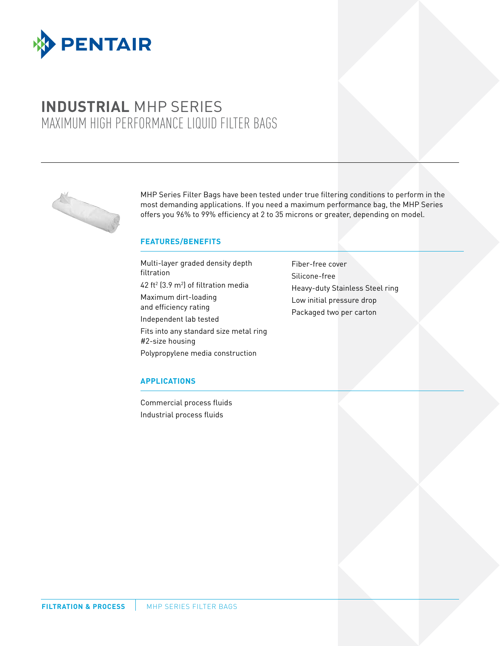

# **INDUSTRIAL** MHP SERIES MAXIMUM HIGH PERFORMANCE LIQUID FILTER BAGS



MHP Series Filter Bags have been tested under true filtering conditions to perform in the most demanding applications. If you need a maximum performance bag, the MHP Series offers you 96% to 99% efficiency at 2 to 35 microns or greater, depending on model.

#### **FEATURES/BENEFITS**

Multi-layer graded density depth filtration 42 ft<sup>2</sup> (3.9 m<sup>2</sup>) of filtration media Maximum dirt-loading and efficiency rating Independent lab tested Fits into any standard size metal ring #2-size housing Polypropylene media construction

Fiber-free cover Silicone-free Heavy-duty Stainless Steel ring Low initial pressure drop Packaged two per carton

#### **APPLICATIONS**

Commercial process fluids Industrial process fluids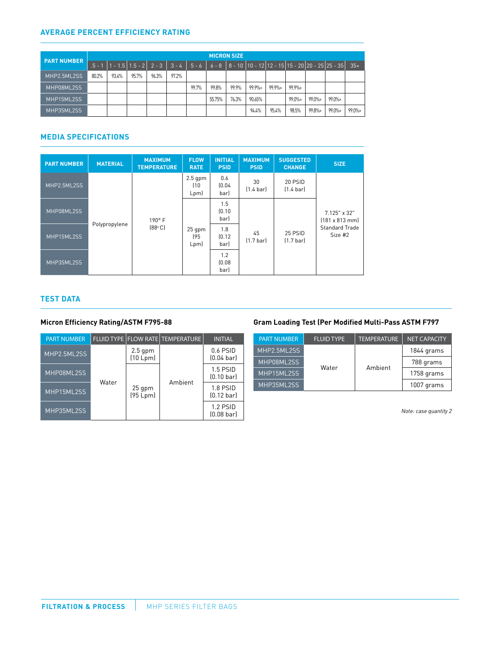#### **AVERAGE PERCENT EFFICIENCY RATING**

| <b>PART NUMBER</b> | <b>MICRON SIZE</b> |       |                                                      |       |       |       |        |       |        |                                                         |          |        |          |        |
|--------------------|--------------------|-------|------------------------------------------------------|-------|-------|-------|--------|-------|--------|---------------------------------------------------------|----------|--------|----------|--------|
|                    |                    |       | $.5 - 1$   1 - 1.5   1.5 - 2   2 - 3   3 - 4   5 - 6 |       |       |       |        |       |        | 6 - 8   8 - 10  10 - 12 12 - 15 15 - 20 20 - 25 25 - 35 |          |        |          | $35+$  |
| MHP2.5ML2SS        | 80.2%              | 93.4% | 95.7%                                                | 96.3% | 97.2% |       |        |       |        |                                                         |          |        |          |        |
| MHP08ML2SS         |                    |       |                                                      |       |       | 99.7% | 99.8%  | 99.9% | 99.9%  | $99.9\%$                                                | $99.9\%$ |        |          |        |
| MHP15ML2SS         |                    |       |                                                      |       |       |       | 55.75% | 76.3% | 90.65% |                                                         | 99.0%>   | 99.0%> | 99.0%>   |        |
| MHP35ML2SS         |                    |       |                                                      |       |       |       |        |       | 94.4%  | 95.4%                                                   | 98.5%    | 99.8%> | $99.0\%$ | 99.0%> |

## **MEDIA SPECIFICATIONS**

| <b>PART NUMBER</b> | <b>MATERIAL</b> | <b>MAXIMUM</b><br><b>TEMPERATURE</b> | <b>FLOW</b><br><b>RATE</b> | <b>INITIAL</b><br><b>PSID</b> | <b>MAXIMUM</b><br><b>PSID</b> | <b>SUGGESTED</b><br><b>CHANGE</b> | <b>SIZE</b>                                                                     |
|--------------------|-----------------|--------------------------------------|----------------------------|-------------------------------|-------------------------------|-----------------------------------|---------------------------------------------------------------------------------|
| MHP2.5ML2SS        | Polypropylene   | 190° F<br>$[88^\circ \text{C}]$      | $2.5$ gpm<br>(10<br>Lpm    | 0.6<br>(0.04)<br>bar)         | 30<br>$[1.4 \text{ bar}]$     | 20 PSID<br>$(1.4 \text{ bar})$    |                                                                                 |
| MHP08ML2SS         |                 |                                      | $25$ gpm<br>195<br>Lpm     | 1.5<br>(0.10)<br>bar)         |                               | 25 PSID<br>$(1.7 \text{ bar})$    | $7.125" \times 32"$<br>$[181 \times 813$ mm<br><b>Standard Trade</b><br>Size #2 |
| MHP15ML2SS         |                 |                                      |                            | 1.8<br>[0.12]<br>bar)         | 45<br>$(1.7 \text{ bar})$     |                                   |                                                                                 |
| MHP35ML2SS         |                 |                                      |                            | 1.2<br>[0.08]<br>bar)         |                               |                                   |                                                                                 |

#### **TEST DATA**

| <b>PART NUMBER</b> |       |                       | <b>FLUID TYPE FLOW RATE TEMPERATURE</b> | <b>INITIAL</b>                     |
|--------------------|-------|-----------------------|-----------------------------------------|------------------------------------|
| MHP2.5ML2SS        |       | $2.5$ gpm<br>(10 Lpm) |                                         | $0.6$ PSID<br>$[0.04$ barl         |
| MHP08ML2SS         | Water | 25 gpm<br>(95 Lpm)    | Ambient                                 | $1.5$ PSID<br>$(0.10 \text{ bar})$ |
| MHP15ML2SS         |       |                       |                                         | 1.8 PSID<br>$(0.12 \text{ bar})$   |
| MHP35ML2SS         |       |                       |                                         | $1.2$ PSID<br>$(0.08 \text{ bar})$ |

### **Micron Efficiency Rating/ASTM F795-88 Gram Loading Test (Per Modified Multi-Pass ASTM F797**

| <b>PART NUMBER</b> | <b>FLUID TYPE</b> | <b>TEMPERATURE</b> | <b>NET CAPACITY</b> |  |  |
|--------------------|-------------------|--------------------|---------------------|--|--|
| MHP2.5ML2SS        |                   |                    | 1844 grams          |  |  |
| MHP08ML2SS         |                   | Ambient            | 788 grams           |  |  |
| MHP15ML2SS         | Water             |                    | 1758 grams          |  |  |
| MHP35ML2SS         |                   |                    | 1007 grams          |  |  |

(0.08 bar) *Note: case quantity 2*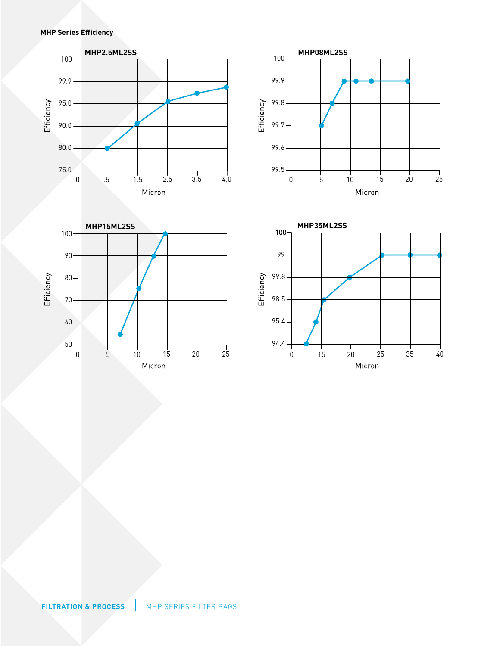**MHP Series Efficiency**